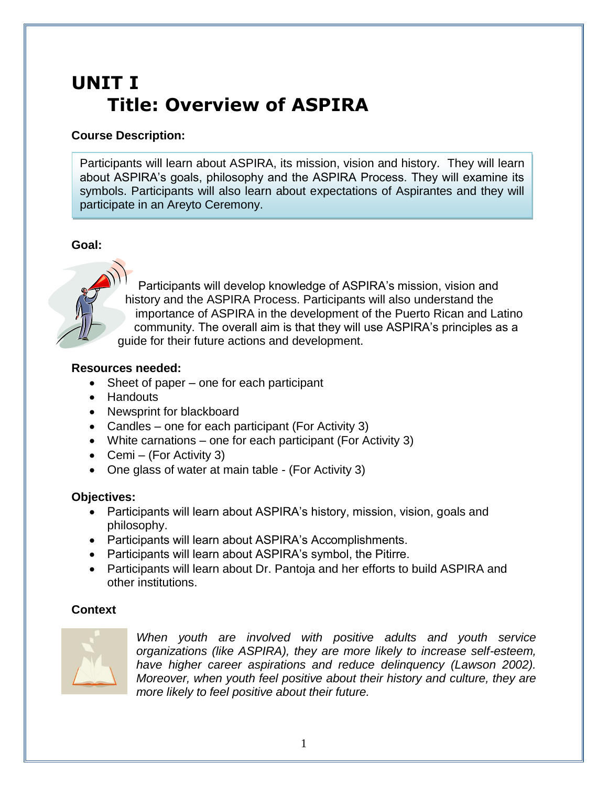# **UNIT I Title: Overview of ASPIRA**

## **Course Description:**

Participants will learn about ASPIRA, its mission, vision and history. They will learn about ASPIRA's goals, philosophy and the ASPIRA Process. They will examine its symbols. Participants will also learn about expectations of Aspirantes and they will participate in an Areyto Ceremony.

## **Goal:**



Participants will develop knowledge of ASPIRA's mission, vision and history and the ASPIRA Process. Participants will also understand the importance of ASPIRA in the development of the Puerto Rican and Latino community. The overall aim is that they will use ASPIRA's principles as a guide for their future actions and development.

## **Resources needed:**

- Sheet of paper one for each participant
- Handouts
- Newsprint for blackboard
- Candles one for each participant (For Activity 3)
- White carnations one for each participant (For Activity 3)
- Cemi (For Activity 3)
- One glass of water at main table (For Activity 3)

## **Objectives:**

- Participants will learn about ASPIRA's history, mission, vision, goals and philosophy.
- Participants will learn about ASPIRA's Accomplishments.
- Participants will learn about ASPIRA's symbol, the Pitirre.
- Participants will learn about Dr. Pantoja and her efforts to build ASPIRA and other institutions.

## **Context**



*When youth are involved with positive adults and youth service organizations (like ASPIRA), they are more likely to increase self-esteem, have higher career aspirations and reduce delinquency (Lawson 2002). Moreover, when youth feel positive about their history and culture, they are more likely to feel positive about their future.*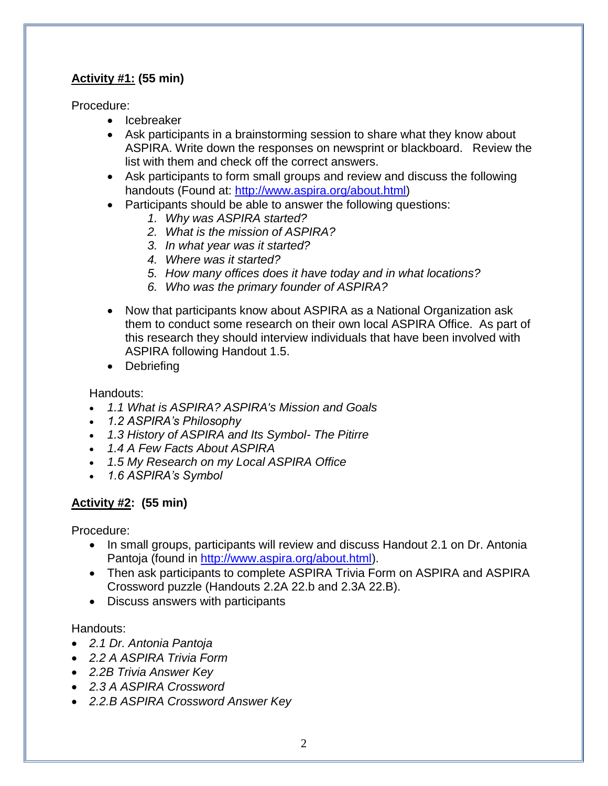# **Activity #1: (55 min)**

Procedure:

- Icebreaker
- Ask participants in a brainstorming session to share what they know about ASPIRA. Write down the responses on newsprint or blackboard. Review the list with them and check off the correct answers.
- Ask participants to form small groups and review and discuss the following handouts (Found at: [http://www.aspira.org/about.html\)](http://www.aspira.org/about.html)
- Participants should be able to answer the following questions:
	- *1. Why was ASPIRA started?*
	- *2. What is the mission of ASPIRA?*
	- *3. In what year was it started?*
	- *4. Where was it started?*
	- *5. How many offices does it have today and in what locations?*
	- *6. Who was the primary founder of ASPIRA?*
- Now that participants know about ASPIRA as a National Organization ask them to conduct some research on their own local ASPIRA Office. As part of this research they should interview individuals that have been involved with ASPIRA following Handout 1.5.
- Debriefing

Handouts:

- *1.1 What is ASPIRA? ASPIRA's Mission and Goals*
- *1.2 ASPIRA's Philosophy*
- *1.3 History of ASPIRA and Its Symbol- The Pitirre*
- *1.4 A Few Facts About ASPIRA*
- *1.5 My Research on my Local ASPIRA Office*
- *1.6 ASPIRA's Symbol*

# **Activity #2: (55 min)**

Procedure:

- In small groups, participants will review and discuss Handout 2.1 on Dr. Antonia Pantoja (found in [http://www.aspira.org/about.html\)](http://www.aspira.org/about.html).
- Then ask participants to complete ASPIRA Trivia Form on ASPIRA and ASPIRA Crossword puzzle (Handouts 2.2A 22.b and 2.3A 22.B).
- Discuss answers with participants

## Handouts:

- *2.1 Dr. Antonia Pantoja*
- *2.2 A ASPIRA Trivia Form*
- *2.2B Trivia Answer Key*
- *2.3 A ASPIRA Crossword*
- *2.2.B ASPIRA Crossword Answer Key*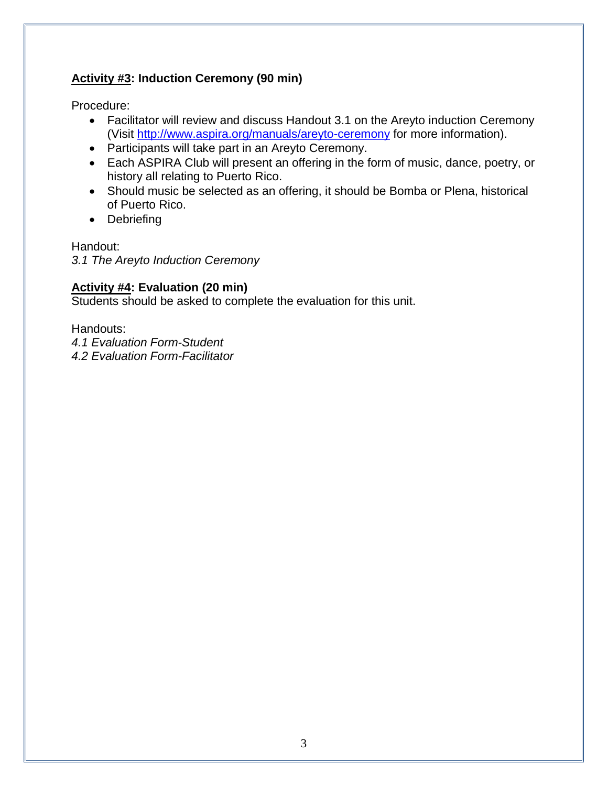# **Activity #3: Induction Ceremony (90 min)**

Procedure:

- Facilitator will review and discuss Handout 3.1 on the Areyto induction Ceremony (Visit<http://www.aspira.org/manuals/areyto-ceremony> for more information).
- Participants will take part in an Areyto Ceremony.
- Each ASPIRA Club will present an offering in the form of music, dance, poetry, or history all relating to Puerto Rico.
- Should music be selected as an offering, it should be Bomba or Plena, historical of Puerto Rico.
- Debriefing

Handout:

*3.1 The Areyto Induction Ceremony* 

# **Activity #4: Evaluation (20 min)**

Students should be asked to complete the evaluation for this unit.

Handouts:

*4.1 Evaluation Form-Student 4.2 Evaluation Form-Facilitator*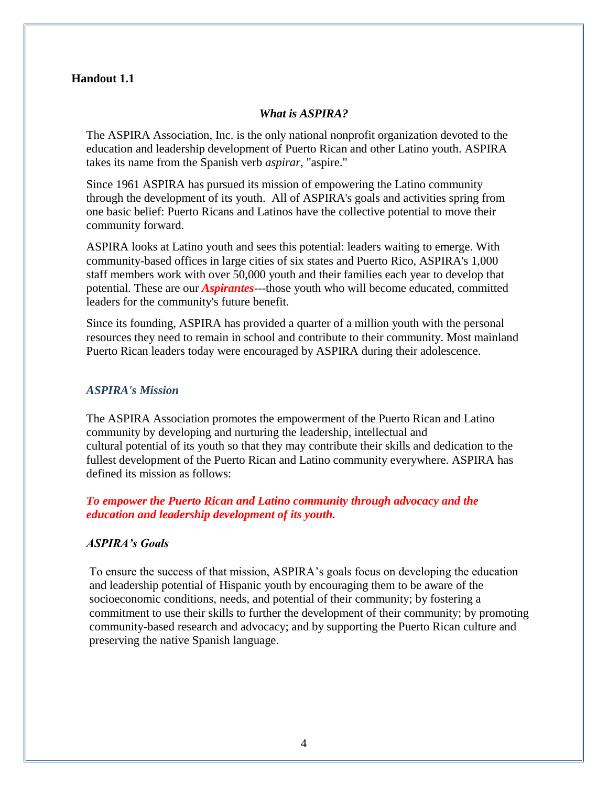#### **Handout 1.1**

#### *What is ASPIRA?*

The ASPIRA Association, Inc. is the only national nonprofit organization devoted to the education and leadership development of Puerto Rican and other Latino youth. ASPIRA takes its name from the Spanish verb *aspirar,* "aspire."

Since 1961 ASPIRA has pursued its mission of empowering the Latino community through the development of its youth. All of ASPIRA's goals and activities spring from one basic belief: Puerto Ricans and Latinos have the collective potential to move their community forward.

ASPIRA looks at Latino youth and sees this potential: leaders waiting to emerge. With community-based offices in large cities of six states and Puerto Rico, ASPIRA's 1,000 staff members work with over 50,000 youth and their families each year to develop that potential. These are our *Aspirantes-*--those youth who will become educated, committed leaders for the community's future benefit.

Since its founding, ASPIRA has provided a quarter of a million youth with the personal resources they need to remain in school and contribute to their community. Most mainland Puerto Rican leaders today were encouraged by ASPIRA during their adolescence.

#### *ASPIRA's Mission*

The ASPIRA Association promotes the empowerment of the Puerto Rican and Latino community by developing and nurturing the leadership, intellectual and cultural potential of its youth so that they may contribute their skills and dedication to the fullest development of the Puerto Rican and Latino community everywhere. ASPIRA has defined its mission as follows:

## *To empower the Puerto Rican and Latino community through advocacy and the education and leadership development of its youth.*

#### *ASPIRA's Goals*

To ensure the success of that mission, ASPIRA's goals focus on developing the education and leadership potential of Hispanic youth by encouraging them to be aware of the socioeconomic conditions, needs, and potential of their community; by fostering a commitment to use their skills to further the development of their community; by promoting community-based research and advocacy; and by supporting the Puerto Rican culture and preserving the native Spanish language.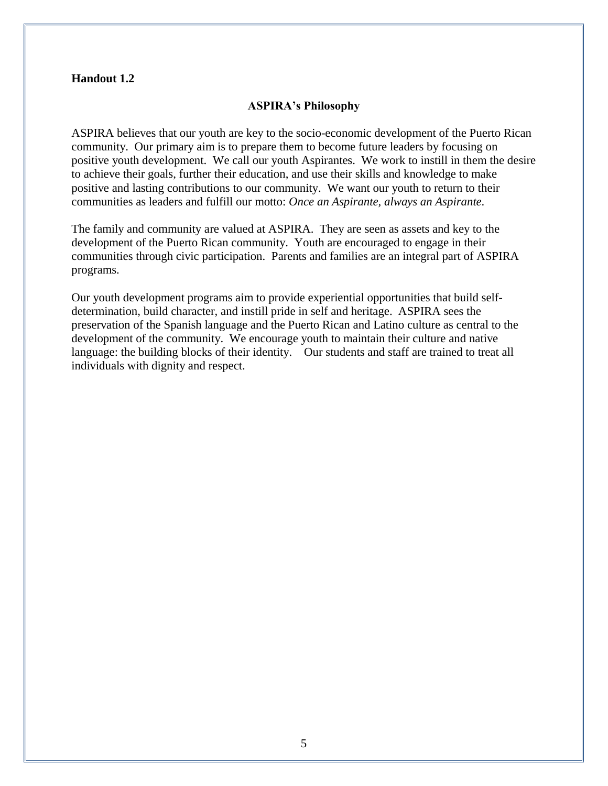#### **Handout 1.2**

#### **ASPIRA's Philosophy**

ASPIRA believes that our youth are key to the socio-economic development of the Puerto Rican community. Our primary aim is to prepare them to become future leaders by focusing on positive youth development. We call our youth Aspirantes. We work to instill in them the desire to achieve their goals, further their education, and use their skills and knowledge to make positive and lasting contributions to our community. We want our youth to return to their communities as leaders and fulfill our motto: *Once an Aspirante, always an Aspirante*.

The family and community are valued at ASPIRA. They are seen as assets and key to the development of the Puerto Rican community. Youth are encouraged to engage in their communities through civic participation. Parents and families are an integral part of ASPIRA programs.

Our youth development programs aim to provide experiential opportunities that build selfdetermination, build character, and instill pride in self and heritage. ASPIRA sees the preservation of the Spanish language and the Puerto Rican and Latino culture as central to the development of the community. We encourage youth to maintain their culture and native language: the building blocks of their identity. Our students and staff are trained to treat all individuals with dignity and respect.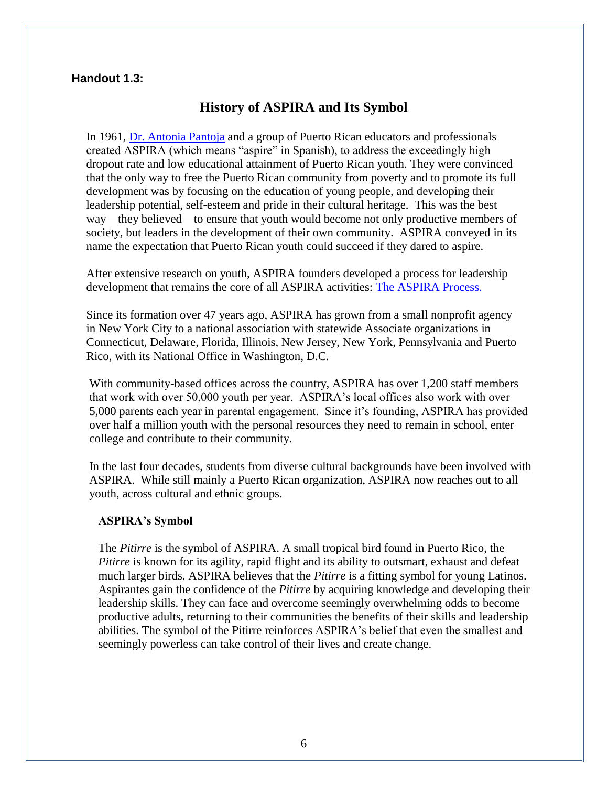## **Handout 1.3:**

## **History of ASPIRA and Its Symbol**

In 1961, [Dr. Antonia Pantoja](http://www.aspira.org/about/founder.htm) and a group of Puerto Rican educators and professionals created ASPIRA (which means "aspire" in Spanish), to address the exceedingly high dropout rate and low educational attainment of Puerto Rican youth. They were convinced that the only way to free the Puerto Rican community from poverty and to promote its full development was by focusing on the education of young people, and developing their leadership potential, self-esteem and pride in their cultural heritage. This was the best way—they believed—to ensure that youth would become not only productive members of society, but leaders in the development of their own community. ASPIRA conveyed in its name the expectation that Puerto Rican youth could succeed if they dared to aspire.

After extensive research on youth, ASPIRA founders developed a process for leadership development that remains the core of all ASPIRA activities: [The ASPIRA Process.](http://www.aspira.org/about/process.htm)

Since its formation over 47 years ago, ASPIRA has grown from a small nonprofit agency in New York City to a national association with statewide Associate organizations in Connecticut, Delaware, Florida, Illinois, New Jersey, New York, Pennsylvania and Puerto Rico, with its National Office in Washington, D.C.

With community-based offices across the country, ASPIRA has over 1,200 staff members that work with over 50,000 youth per year. ASPIRA's local offices also work with over 5,000 parents each year in parental engagement. Since it's founding, ASPIRA has provided over half a million youth with the personal resources they need to remain in school, enter college and contribute to their community.

In the last four decades, students from diverse cultural backgrounds have been involved with ASPIRA. While still mainly a Puerto Rican organization, ASPIRA now reaches out to all youth, across cultural and ethnic groups.

#### **ASPIRA's Symbol**

The *Pitirre* is the symbol of ASPIRA. A small tropical bird found in Puerto Rico, the *Pitirre* is known for its agility, rapid flight and its ability to outsmart, exhaust and defeat much larger birds. ASPIRA believes that the *Pitirre* is a fitting symbol for young Latinos. Aspirantes gain the confidence of the *Pitirre* by acquiring knowledge and developing their leadership skills. They can face and overcome seemingly overwhelming odds to become productive adults, returning to their communities the benefits of their skills and leadership abilities. The symbol of the Pitirre reinforces ASPIRA's belief that even the smallest and seemingly powerless can take control of their lives and create change.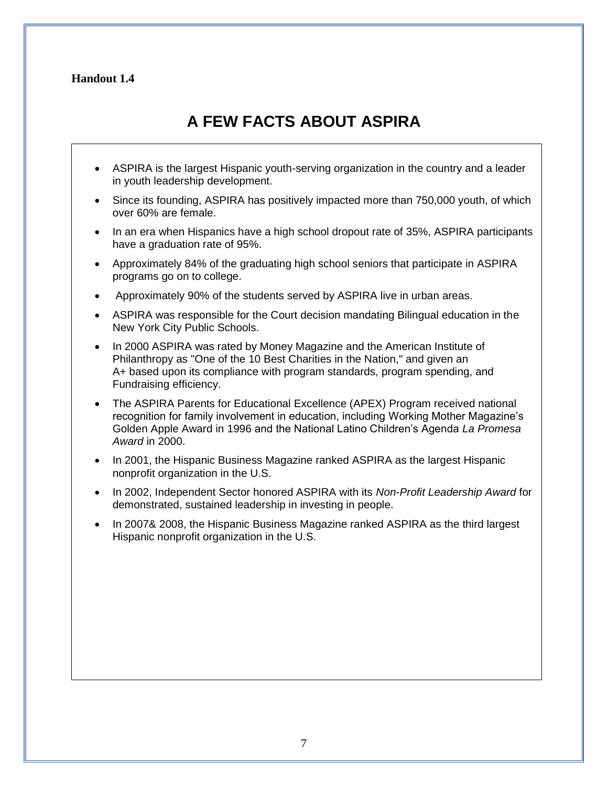## **Handout 1.4**

# **A FEW FACTS ABOUT ASPIRA**

- ASPIRA is the largest Hispanic youth-serving organization in the country and a leader in youth leadership development.
- Since its founding, ASPIRA has positively impacted more than 750,000 youth, of which over 60% are female.
- In an era when Hispanics have a high school dropout rate of 35%, ASPIRA participants have a graduation rate of 95%.
- Approximately 84% of the graduating high school seniors that participate in ASPIRA programs go on to college.
- Approximately 90% of the students served by ASPIRA live in urban areas.
- ASPIRA was responsible for the Court decision mandating Bilingual education in the New York City Public Schools.
- In 2000 ASPIRA was rated by Money Magazine and the American Institute of Philanthropy as "One of the 10 Best Charities in the Nation," and given an A+ based upon its compliance with program standards, program spending, and Fundraising efficiency.
- The ASPIRA Parents for Educational Excellence (APEX) Program received national recognition for family involvement in education, including Working Mother Magazine's Golden Apple Award in 1996 and the National Latino Children's Agenda *La Promesa Award* in 2000.
- In 2001, the Hispanic Business Magazine ranked ASPIRA as the largest Hispanic nonprofit organization in the U.S.
- In 2002, Independent Sector honored ASPIRA with its *Non-Profit Leadership Award* for demonstrated, sustained leadership in investing in people.
- In 2007& 2008, the Hispanic Business Magazine ranked ASPIRA as the third largest Hispanic nonprofit organization in the U.S.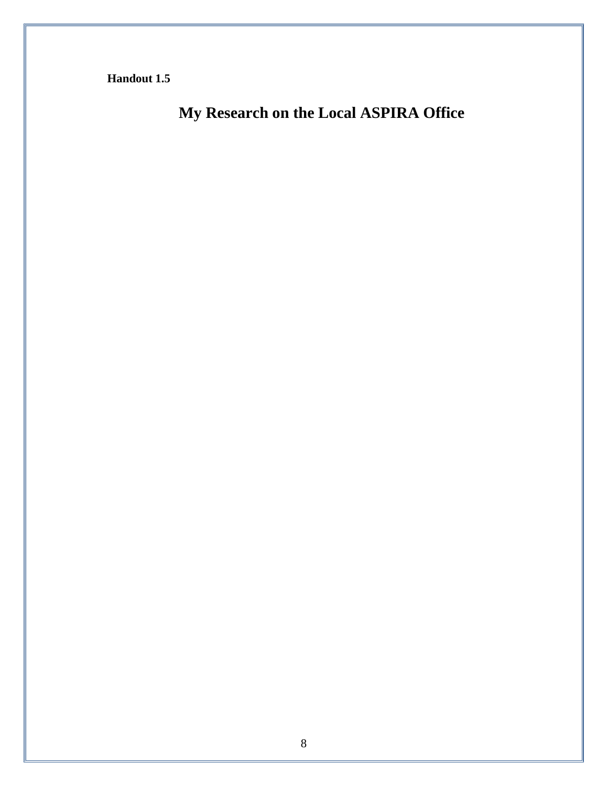**Handout 1.5** 

**My Research on the Local ASPIRA Office**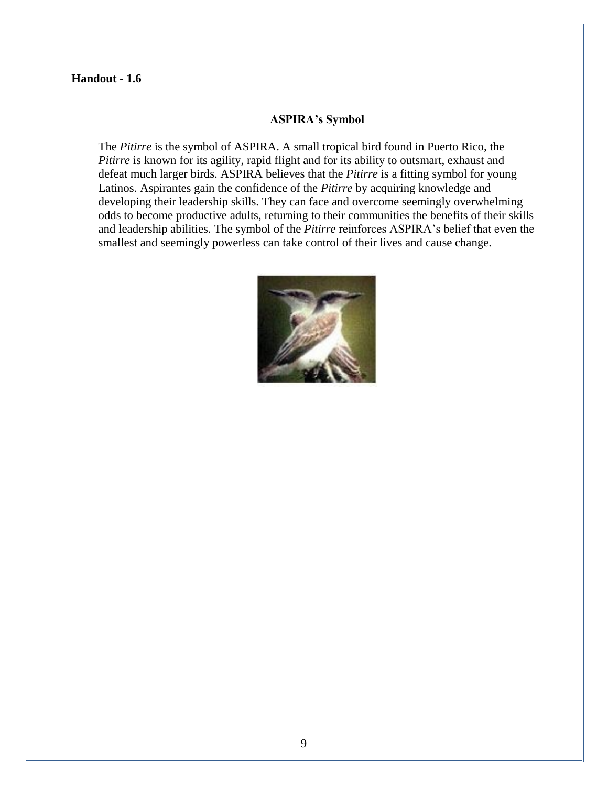#### **Handout - 1.6**

#### **ASPIRA's Symbol**

The *Pitirre* is the symbol of ASPIRA. A small tropical bird found in Puerto Rico, the *Pitirre* is known for its agility, rapid flight and for its ability to outsmart, exhaust and defeat much larger birds. ASPIRA believes that the *Pitirre* is a fitting symbol for young Latinos. Aspirantes gain the confidence of the *Pitirre* by acquiring knowledge and developing their leadership skills. They can face and overcome seemingly overwhelming odds to become productive adults, returning to their communities the benefits of their skills and leadership abilities. The symbol of the *Pitirre* reinforces ASPIRA's belief that even the smallest and seemingly powerless can take control of their lives and cause change.

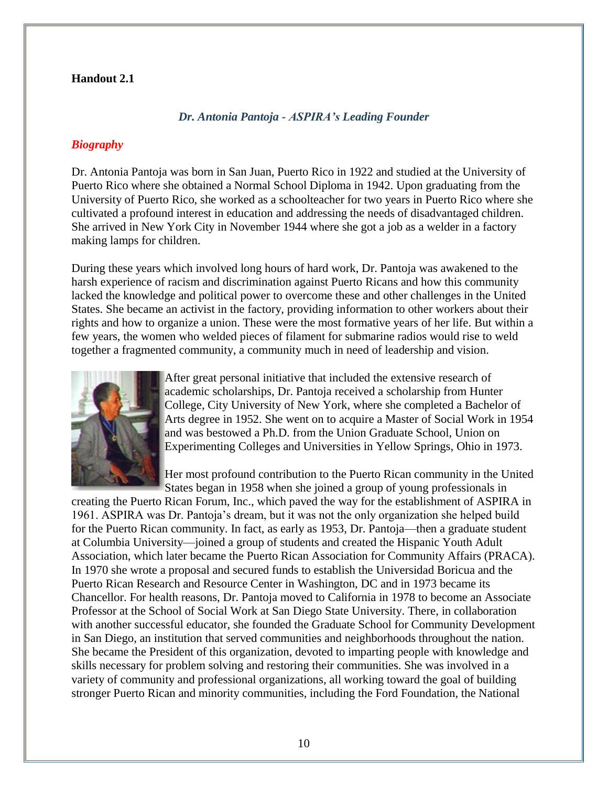#### **Handout 2.1**

#### *Dr. Antonia Pantoja - ASPIRA's Leading Founder*

## *Biography*

Dr. Antonia Pantoja was born in San Juan, Puerto Rico in 1922 and studied at the University of Puerto Rico where she obtained a Normal School Diploma in 1942. Upon graduating from the University of Puerto Rico, she worked as a schoolteacher for two years in Puerto Rico where she cultivated a profound interest in education and addressing the needs of disadvantaged children. She arrived in New York City in November 1944 where she got a job as a welder in a factory making lamps for children.

During these years which involved long hours of hard work, Dr. Pantoja was awakened to the harsh experience of racism and discrimination against Puerto Ricans and how this community lacked the knowledge and political power to overcome these and other challenges in the United States. She became an activist in the factory, providing information to other workers about their rights and how to organize a union. These were the most formative years of her life. But within a few years, the women who welded pieces of filament for submarine radios would rise to weld together a fragmented community, a community much in need of leadership and vision.



After great personal initiative that included the extensive research of academic scholarships, Dr. Pantoja received a scholarship from Hunter College, City University of New York, where she completed a Bachelor of Arts degree in 1952. She went on to acquire a Master of Social Work in 1954 and was bestowed a Ph.D. from the Union Graduate School, Union on Experimenting Colleges and Universities in Yellow Springs, Ohio in 1973.

Her most profound contribution to the Puerto Rican community in the United States began in 1958 when she joined a group of young professionals in

creating the Puerto Rican Forum, Inc., which paved the way for the establishment of ASPIRA in 1961. ASPIRA was Dr. Pantoja's dream, but it was not the only organization she helped build for the Puerto Rican community. In fact, as early as 1953, Dr. Pantoja—then a graduate student at Columbia University—joined a group of students and created the Hispanic Youth Adult Association, which later became the Puerto Rican Association for Community Affairs (PRACA). In 1970 she wrote a proposal and secured funds to establish the Universidad Boricua and the Puerto Rican Research and Resource Center in Washington, DC and in 1973 became its Chancellor. For health reasons, Dr. Pantoja moved to California in 1978 to become an Associate Professor at the School of Social Work at San Diego State University. There, in collaboration with another successful educator, she founded the Graduate School for Community Development in San Diego, an institution that served communities and neighborhoods throughout the nation. She became the President of this organization, devoted to imparting people with knowledge and skills necessary for problem solving and restoring their communities. She was involved in a variety of community and professional organizations, all working toward the goal of building stronger Puerto Rican and minority communities, including the Ford Foundation, the National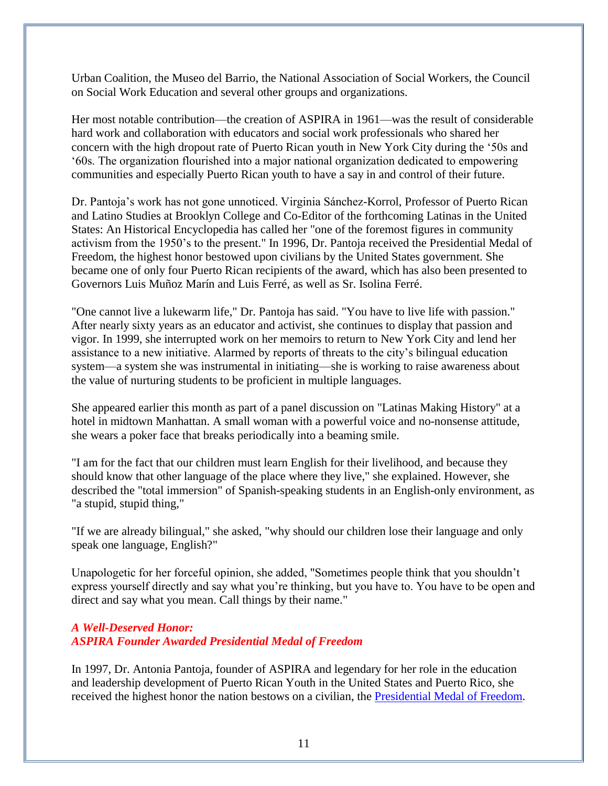Urban Coalition, the Museo del Barrio, the National Association of Social Workers, the Council on Social Work Education and several other groups and organizations.

Her most notable contribution—the creation of ASPIRA in 1961—was the result of considerable hard work and collaboration with educators and social work professionals who shared her concern with the high dropout rate of Puerto Rican youth in New York City during the '50s and ‗60s. The organization flourished into a major national organization dedicated to empowering communities and especially Puerto Rican youth to have a say in and control of their future.

Dr. Pantoja's work has not gone unnoticed. Virginia Sánchez-Korrol, Professor of Puerto Rican and Latino Studies at Brooklyn College and Co-Editor of the forthcoming Latinas in the United States: An Historical Encyclopedia has called her "one of the foremost figures in community activism from the 1950's to the present." In 1996, Dr. Pantoja received the Presidential Medal of Freedom, the highest honor bestowed upon civilians by the United States government. She became one of only four Puerto Rican recipients of the award, which has also been presented to Governors Luis Muñoz Marín and Luis Ferré, as well as Sr. Isolina Ferré.

"One cannot live a lukewarm life," Dr. Pantoja has said. "You have to live life with passion." After nearly sixty years as an educator and activist, she continues to display that passion and vigor. In 1999, she interrupted work on her memoirs to return to New York City and lend her assistance to a new initiative. Alarmed by reports of threats to the city's bilingual education system—a system she was instrumental in initiating—she is working to raise awareness about the value of nurturing students to be proficient in multiple languages.

She appeared earlier this month as part of a panel discussion on "Latinas Making History" at a hotel in midtown Manhattan. A small woman with a powerful voice and no-nonsense attitude, she wears a poker face that breaks periodically into a beaming smile.

"I am for the fact that our children must learn English for their livelihood, and because they should know that other language of the place where they live," she explained. However, she described the "total immersion" of Spanish-speaking students in an English-only environment, as "a stupid, stupid thing,"

"If we are already bilingual," she asked, "why should our children lose their language and only speak one language, English?"

Unapologetic for her forceful opinion, she added, "Sometimes people think that you shouldn't express yourself directly and say what you're thinking, but you have to. You have to be open and direct and say what you mean. Call things by their name."

## *A Well-Deserved Honor: ASPIRA Founder Awarded Presidential Medal of Freedom*

In 1997, Dr. Antonia Pantoja, founder of ASPIRA and legendary for her role in the education and leadership development of Puerto Rican Youth in the United States and Puerto Rico, she received the highest honor the nation bestows on a civilian, the [Presidential Medal of Freedom.](http://www.lib.berkeley.edu/Collections/Ethnic/heritage)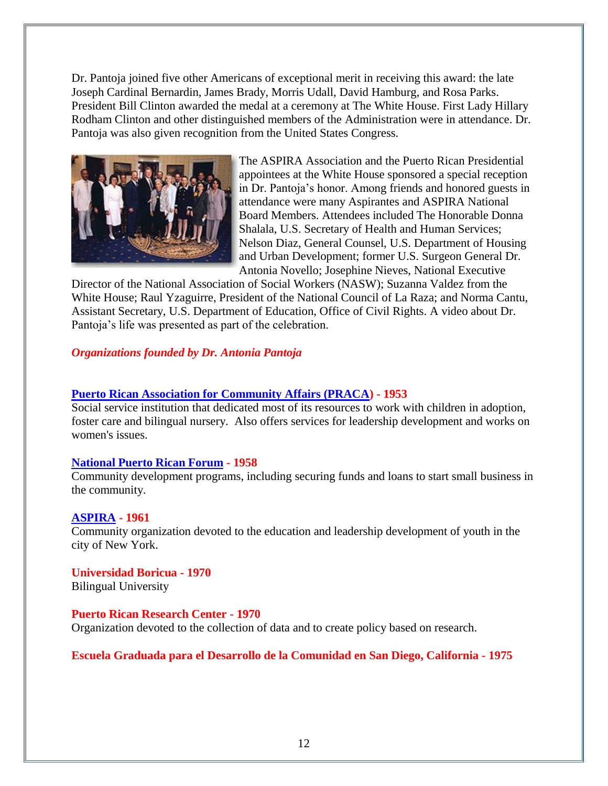Dr. Pantoja joined five other Americans of exceptional merit in receiving this award: the late Joseph Cardinal Bernardin, James Brady, Morris Udall, David Hamburg, and Rosa Parks. President Bill Clinton awarded the medal at a ceremony at The White House. First Lady Hillary Rodham Clinton and other distinguished members of the Administration were in attendance. Dr. Pantoja was also given recognition from the United States Congress.



The ASPIRA Association and the Puerto Rican Presidential appointees at the White House sponsored a special reception in Dr. Pantoja's honor. Among friends and honored guests in attendance were many Aspirantes and ASPIRA National Board Members. Attendees included The Honorable Donna Shalala, U.S. Secretary of Health and Human Services; Nelson Diaz, General Counsel, U.S. Department of Housing and Urban Development; former U.S. Surgeon General Dr. Antonia Novello; Josephine Nieves, National Executive

Director of the National Association of Social Workers (NASW); Suzanna Valdez from the White House; Raul Yzaguirre, President of the National Council of La Raza; and Norma Cantu, Assistant Secretary, U.S. Department of Education, Office of Civil Rights. A video about Dr. Pantoja's life was presented as part of the celebration.

## *Organizations founded by Dr. Antonia Pantoja*

## **[Puerto Rican Association for Community Affairs \(PRACA\)](http://www.buscapique.com/latinusa/buscafile/este/praca.htm) - 1953**

Social service institution that dedicated most of its resources to work with children in adoption, foster care and bilingual nursery. Also offers services for leadership development and works on women's issues.

#### **[National Puerto Rican Forum](http://www.nprf.org/aboutus.html) - 1958**

Community development programs, including securing funds and loans to start small business in the community.

## **[ASPIRA](http://www.aspira.org/) - 1961**

Community organization devoted to the education and leadership development of youth in the city of New York.

**Universidad Boricua - 1970** Bilingual University

#### **Puerto Rican Research Center - 1970**

Organization devoted to the collection of data and to create policy based on research.

#### **Escuela Graduada para el Desarrollo de la Comunidad en San Diego, California - 1975**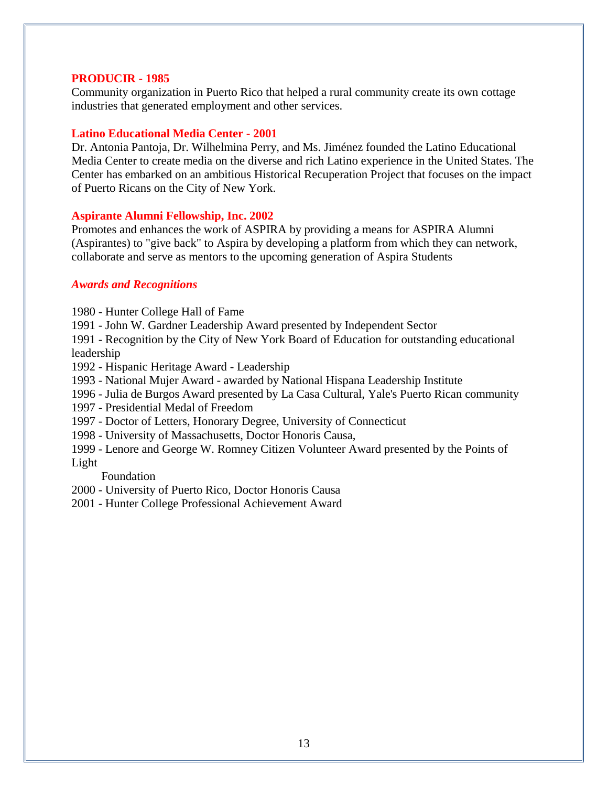#### **PRODUCIR - 1985**

Community organization in Puerto Rico that helped a rural community create its own cottage industries that generated employment and other services.

#### **Latino Educational Media Center - 2001**

Dr. Antonia Pantoja, Dr. Wilhelmina Perry, and Ms. Jiménez founded the Latino Educational Media Center to create media on the diverse and rich Latino experience in the United States. The Center has embarked on an ambitious Historical Recuperation Project that focuses on the impact of Puerto Ricans on the City of New York.

#### **Aspirante Alumni Fellowship, Inc. 2002**

Promotes and enhances the work of ASPIRA by providing a means for ASPIRA Alumni (Aspirantes) to "give back" to Aspira by developing a platform from which they can network, collaborate and serve as mentors to the upcoming generation of Aspira Students

#### *Awards and Recognitions*

1980 - Hunter College Hall of Fame

1991 - John W. Gardner Leadership Award presented by Independent Sector

1991 - Recognition by the City of New York Board of Education for outstanding educational leadership

- 1992 Hispanic Heritage Award Leadership
- 1993 National Mujer Award awarded by National Hispana Leadership Institute
- 1996 Julia de Burgos Award presented by La Casa Cultural, Yale's Puerto Rican community
- 1997 Presidential Medal of Freedom
- 1997 Doctor of Letters, Honorary Degree, University of Connecticut
- 1998 University of Massachusetts, Doctor Honoris Causa,
- 1999 Lenore and George W. Romney Citizen Volunteer Award presented by the Points of Light

#### Foundation

- 2000 University of Puerto Rico, Doctor Honoris Causa
- 2001 Hunter College Professional Achievement Award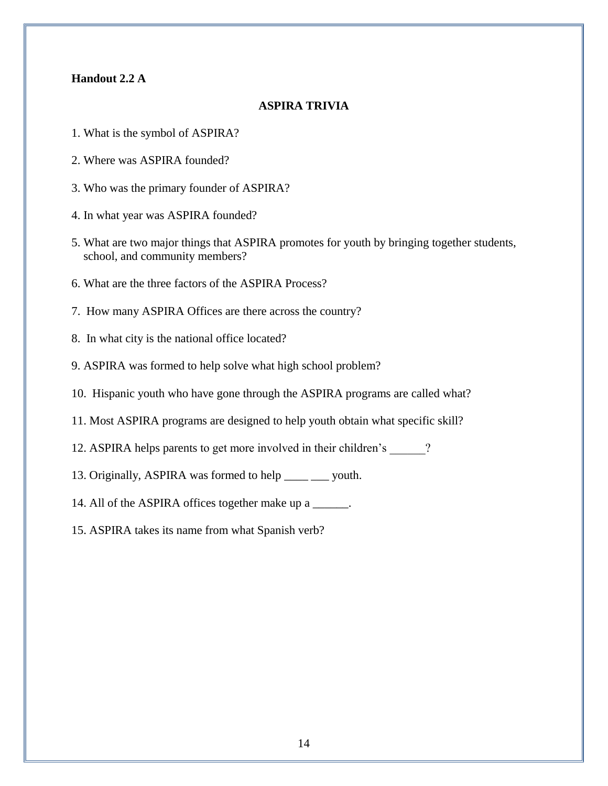#### **Handout 2.2 A**

#### **ASPIRA TRIVIA**

- 1. What is the symbol of ASPIRA?
- 2. Where was ASPIRA founded?
- 3. Who was the primary founder of ASPIRA?
- 4. In what year was ASPIRA founded?
- 5. What are two major things that ASPIRA promotes for youth by bringing together students, school, and community members?
- 6. What are the three factors of the ASPIRA Process?
- 7. How many ASPIRA Offices are there across the country?
- 8. In what city is the national office located?
- 9. ASPIRA was formed to help solve what high school problem?
- 10. Hispanic youth who have gone through the ASPIRA programs are called what?
- 11. Most ASPIRA programs are designed to help youth obtain what specific skill?
- 12. ASPIRA helps parents to get more involved in their children's \_\_\_\_\_\_?
- 13. Originally, ASPIRA was formed to help \_\_\_\_ \_\_\_ youth.
- 14. All of the ASPIRA offices together make up a \_\_\_\_\_\_.
- 15. ASPIRA takes its name from what Spanish verb?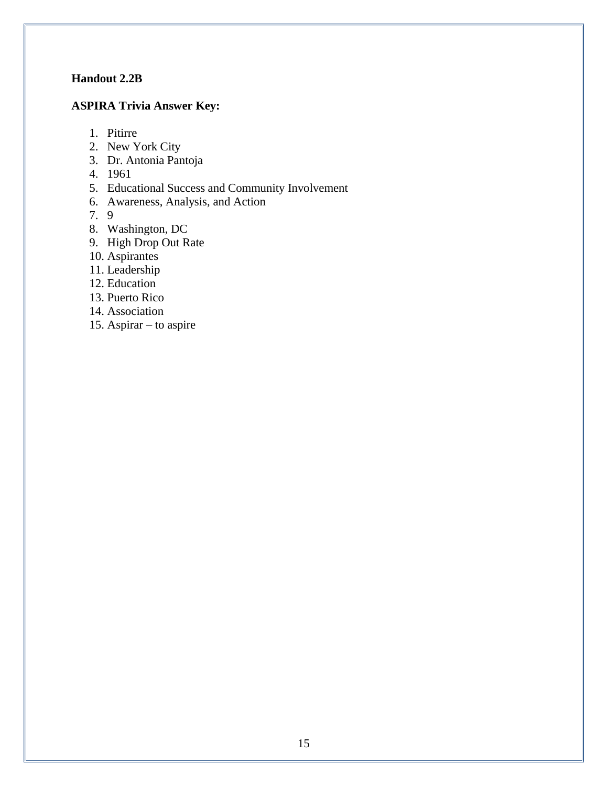## **Handout 2.2B**

## **ASPIRA Trivia Answer Key:**

- 1. Pitirre
- 2. New York City
- 3. Dr. Antonia Pantoja
- 4. 1961
- 5. Educational Success and Community Involvement
- 6. Awareness, Analysis, and Action

7. 9

- 8. Washington, DC
- 9. High Drop Out Rate
- 10. Aspirantes
- 11. Leadership
- 12. Education
- 13. Puerto Rico
- 14. Association
- 15. Aspirar to aspire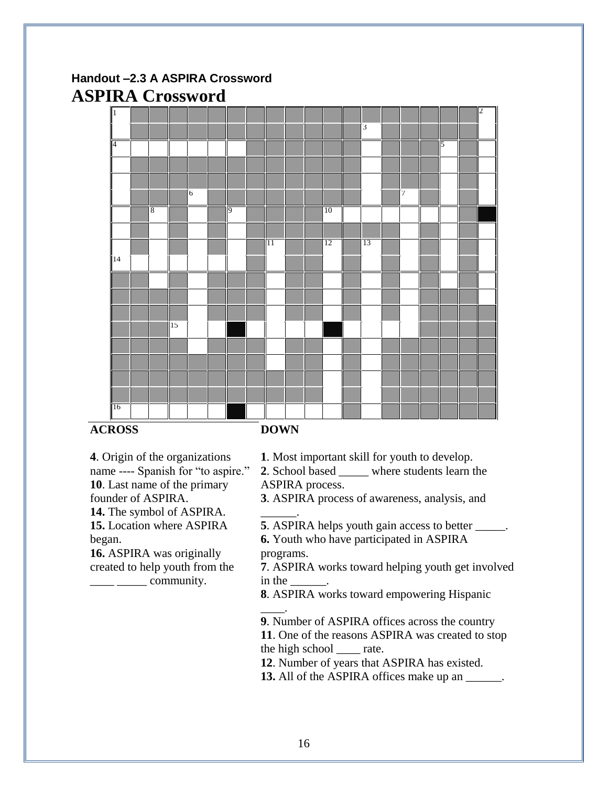# **Handout –2.3 A ASPIRA Crossword ASPIRA Crossword**



## **ACROSS**

**DOWN**

**4**. Origin of the organizations name ---- Spanish for "to aspire." **10**. Last name of the primary founder of ASPIRA. **14.** The symbol of ASPIRA. **15.** Location where ASPIRA

began.

**16.** ASPIRA was originally created to help youth from the  $\frac{1}{\sqrt{2}}$  community.

**1**. Most important skill for youth to develop.

2. School based where students learn the ASPIRA process.

**3**. ASPIRA process of awareness, analysis, and

\_\_\_\_\_\_. **5**. ASPIRA helps youth gain access to better \_\_\_\_\_. **6.** Youth who have participated in ASPIRA

programs.

**7**. ASPIRA works toward helping youth get involved in the

**8**. ASPIRA works toward empowering Hispanic \_\_\_\_.

**9**. Number of ASPIRA offices across the country **11**. One of the reasons ASPIRA was created to stop the high school \_\_\_\_ rate.

**12**. Number of years that ASPIRA has existed.

**13.** All of the ASPIRA offices make up an \_\_\_\_\_\_.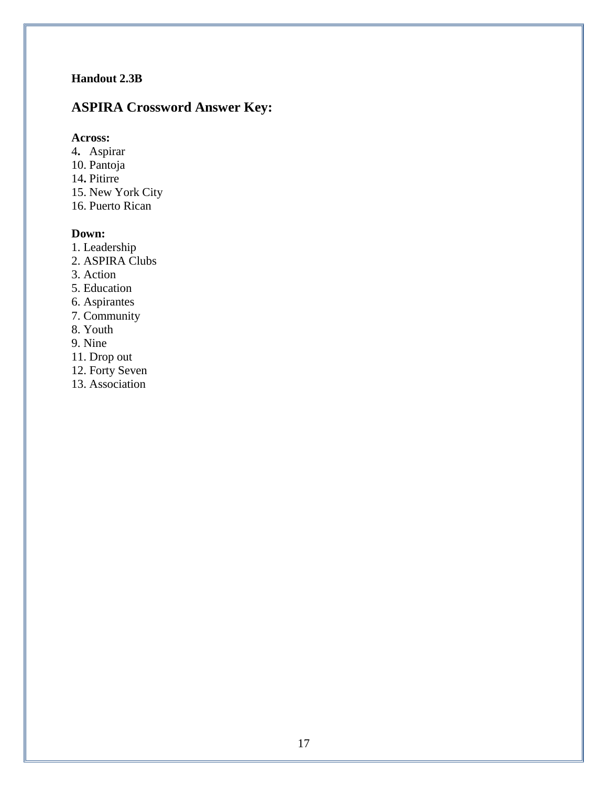## **Handout 2.3B**

# **ASPIRA Crossword Answer Key:**

## **Across:**

- 4**.** Aspirar
- 10. Pantoja
- 14**.** Pitirre
- 15. New York City
- 16. Puerto Rican

## **Down:**

- 1. Leadership
- 2. ASPIRA Clubs
- 3. Action
- 5. Education
- 6. Aspirantes
- 7. Community
- 8. Youth
- 9. Nine
- 11. Drop out
- 12. Forty Seven
- 13. Association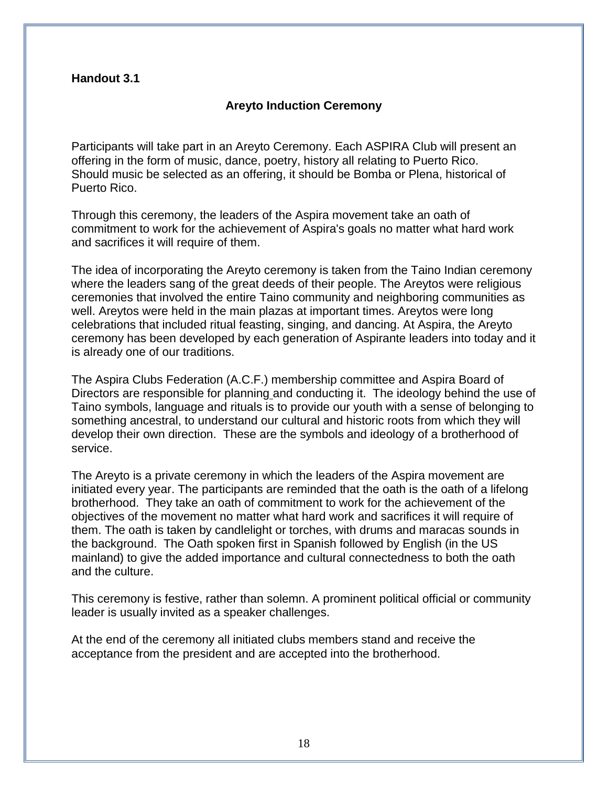## **Handout 3.1**

## **Areyto Induction Ceremony**

Participants will take part in an Areyto Ceremony. Each ASPIRA Club will present an offering in the form of music, dance, poetry, history all relating to Puerto Rico. Should music be selected as an offering, it should be Bomba or Plena, historical of Puerto Rico.

Through this ceremony, the leaders of the Aspira movement take an oath of commitment to work for the achievement of Aspira's goals no matter what hard work and sacrifices it will require of them.

The idea of incorporating the Areyto ceremony is taken from the Taino Indian ceremony where the leaders sang of the great deeds of their people. The Areytos were religious ceremonies that involved the entire Taino community and neighboring communities as well. Areytos were held in the main plazas at important times. Areytos were long celebrations that included ritual feasting, singing, and dancing. At Aspira, the Areyto ceremony has been developed by each generation of Aspirante leaders into today and it is already one of our traditions.

The Aspira Clubs Federation (A.C.F.) membership committee and Aspira Board of Directors are responsible for planning and conducting it. The ideology behind the use of Taino symbols, language and rituals is to provide our youth with a sense of belonging to something ancestral, to understand our cultural and historic roots from which they will develop their own direction. These are the symbols and ideology of a brotherhood of service.

The Areyto is a private ceremony in which the leaders of the Aspira movement are initiated every year. The participants are reminded that the oath is the oath of a lifelong brotherhood. They take an oath of commitment to work for the achievement of the objectives of the movement no matter what hard work and sacrifices it will require of them. The oath is taken by candlelight or torches, with drums and maracas sounds in the background. The Oath spoken first in Spanish followed by English (in the US mainland) to give the added importance and cultural connectedness to both the oath and the culture.

This ceremony is festive, rather than solemn. A prominent political official or community leader is usually invited as a speaker challenges.

At the end of the ceremony all initiated clubs members stand and receive the acceptance from the president and are accepted into the brotherhood.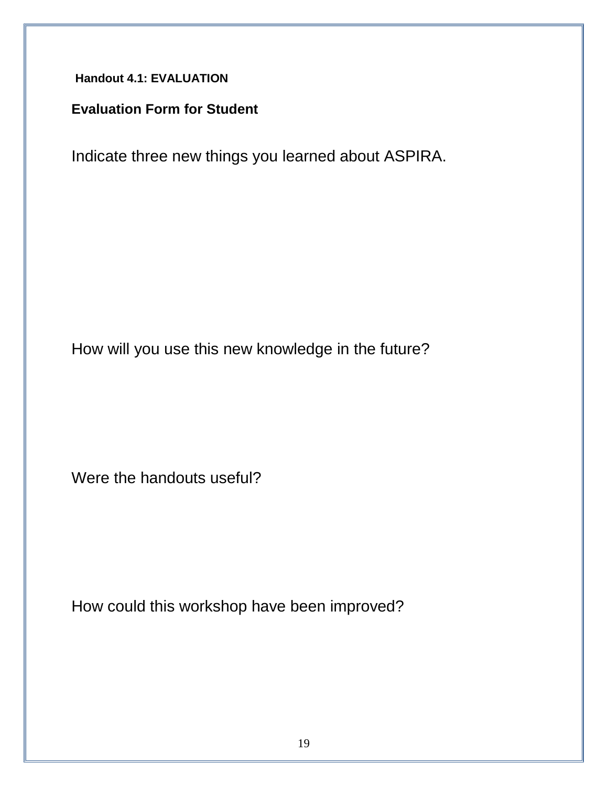**Handout 4.1: EVALUATION**

# **Evaluation Form for Student**

Indicate three new things you learned about ASPIRA.

How will you use this new knowledge in the future?

Were the handouts useful?

How could this workshop have been improved?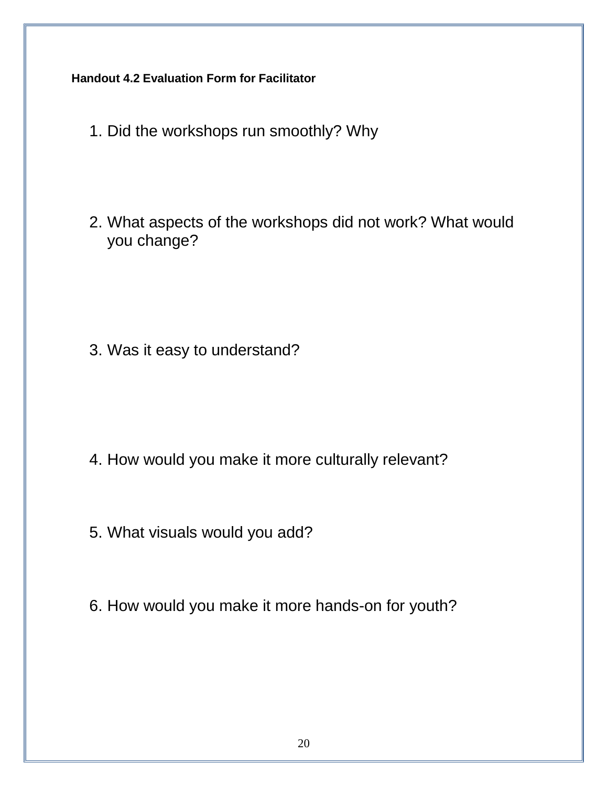**Handout 4.2 Evaluation Form for Facilitator**

- 1. Did the workshops run smoothly? Why
- 2. What aspects of the workshops did not work? What would you change?

3. Was it easy to understand?

- 4. How would you make it more culturally relevant?
- 5. What visuals would you add?
- 6. How would you make it more hands-on for youth?